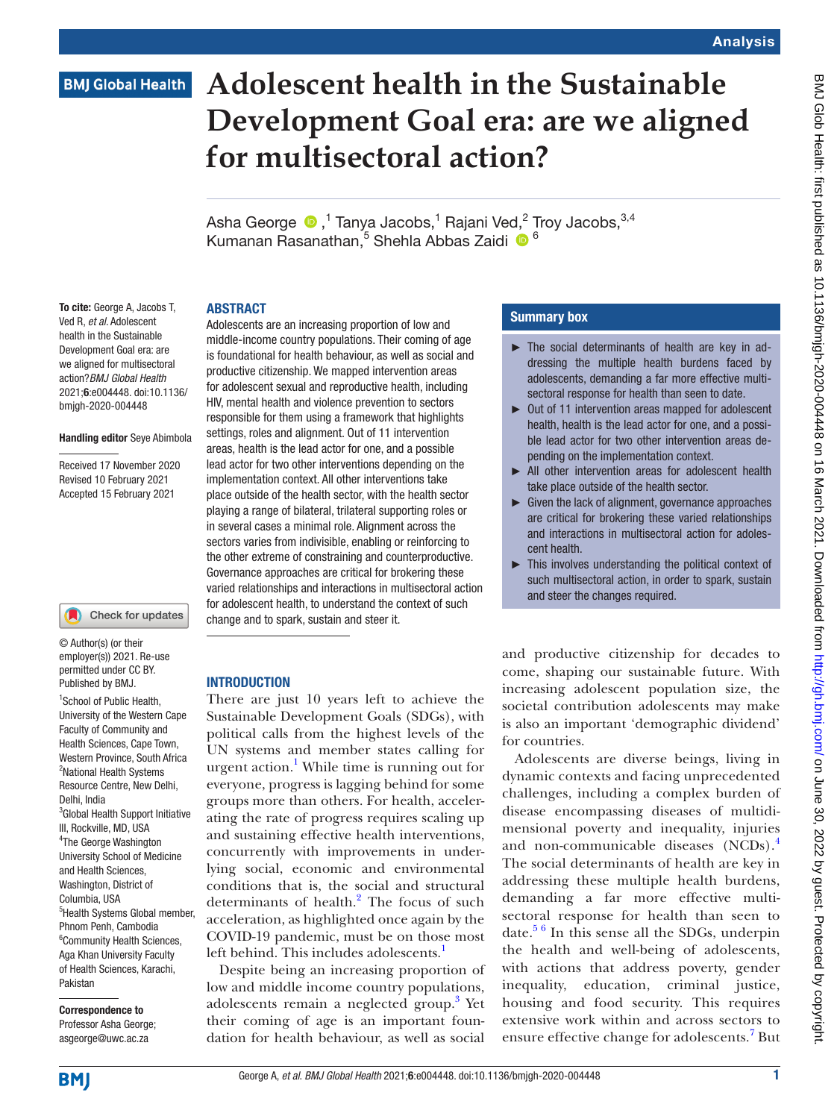# **BMJ Global Health**

# **Adolescent health in the Sustainable Development Goal era: are we aligned for multisectoral action?**

AshaGeorge  $\textcolor{blue}{\bullet}$  ,<sup>1</sup> Tanya Jacobs,<sup>1</sup> Rajani Ved,<sup>2</sup> Troy Jacobs,<sup>3,4</sup> Kumanan Rasanathan,<sup>5</sup> Shehla Abbas Zaidi <sup>® 6</sup>

#### ABSTRACT

To cite: George A, Jacobs T, Ved R, *et al*. Adolescent health in the Sustainable Development Goal era: are we aligned for multisectoral action?*BMJ Global Health* 2021;6:e004448. doi:10.1136/ bmjgh-2020-004448

#### Handling editor Seye Abimbola

Received 17 November 2020 Revised 10 February 2021 Accepted 15 February 2021

#### Check for updates

© Author(s) (or their employer(s)) 2021. Re-use permitted under CC BY. Published by BMJ.

<sup>1</sup> School of Public Health, University of the Western Cape Faculty of Community and Health Sciences, Cape Town, Western Province, South Africa <sup>2</sup>National Health Systems Resource Centre, New Delhi, Delhi, India <sup>3</sup>Global Health Support Initiative III, Rockville, MD, USA 4 The George Washington University School of Medicine and Health Sciences, Washington, District of Columbia, USA 5 Health Systems Global member, Phnom Penh, Cambodia 6 Community Health Sciences, Aga Khan University Faculty of Health Sciences, Karachi, Pakistan

Correspondence to Professor Asha George; asgeorge@uwc.ac.za

Adolescents are an increasing proportion of low and middle-income country populations. Their coming of age is foundational for health behaviour, as well as social and productive citizenship. We mapped intervention areas for adolescent sexual and reproductive health, including HIV, mental health and violence prevention to sectors responsible for them using a framework that highlights settings, roles and alignment. Out of 11 intervention areas, health is the lead actor for one, and a possible lead actor for two other interventions depending on the implementation context. All other interventions take place outside of the health sector, with the health sector playing a range of bilateral, trilateral supporting roles or in several cases a minimal role. Alignment across the sectors varies from indivisible, enabling or reinforcing to the other extreme of constraining and counterproductive. Governance approaches are critical for brokering these varied relationships and interactions in multisectoral action for adolescent health, to understand the context of such change and to spark, sustain and steer it.

### INTRODUCTION

There are just 10 years left to achieve the Sustainable Development Goals (SDGs), with political calls from the highest levels of the UN systems and member states calling for urgent action.<sup>1</sup> While time is running out for everyone, progress is lagging behind for some groups more than others. For health, accelerating the rate of progress requires scaling up and sustaining effective health interventions, concurrently with improvements in underlying social, economic and environmental conditions that is, the social and structural determinants of health.<sup>[2](#page-6-1)</sup> The focus of such acceleration, as highlighted once again by the COVID-19 pandemic, must be on those most left behind. This includes adolescents.<sup>[1](#page-6-0)</sup>

Despite being an increasing proportion of low and middle income country populations, adolescents remain a neglected group.<sup>[3](#page-6-2)</sup> Yet their coming of age is an important foundation for health behaviour, as well as social

### Summary box

- ► The social determinants of health are key in addressing the multiple health burdens faced by adolescents, demanding a far more effective multisectoral response for health than seen to date.
- ► Out of 11 intervention areas mapped for adolescent health, health is the lead actor for one, and a possible lead actor for two other intervention areas depending on the implementation context.
- ► All other intervention areas for adolescent health take place outside of the health sector.
- $\blacktriangleright$  Given the lack of alignment, governance approaches are critical for brokering these varied relationships and interactions in multisectoral action for adolescent health.
- ► This involves understanding the political context of such multisectoral action, in order to spark, sustain and steer the changes required.

and productive citizenship for decades to come, shaping our sustainable future. With increasing adolescent population size, the societal contribution adolescents may make is also an important 'demographic dividend' for countries.

Adolescents are diverse beings, living in dynamic contexts and facing unprecedented challenges, including a complex burden of disease encompassing diseases of multidimensional poverty and inequality, injuries and non-communicable diseases (NCDs).<sup>[4](#page-6-3)</sup> The social determinants of health are key in addressing these multiple health burdens, demanding a far more effective multisectoral response for health than seen to date. $56$  In this sense all the SDGs, underpin the health and well-being of adolescents, with actions that address poverty, gender inequality, education, criminal justice, housing and food security. This requires extensive work within and across sectors to ensure effective change for adolescents.<sup>[7](#page-6-5)</sup> But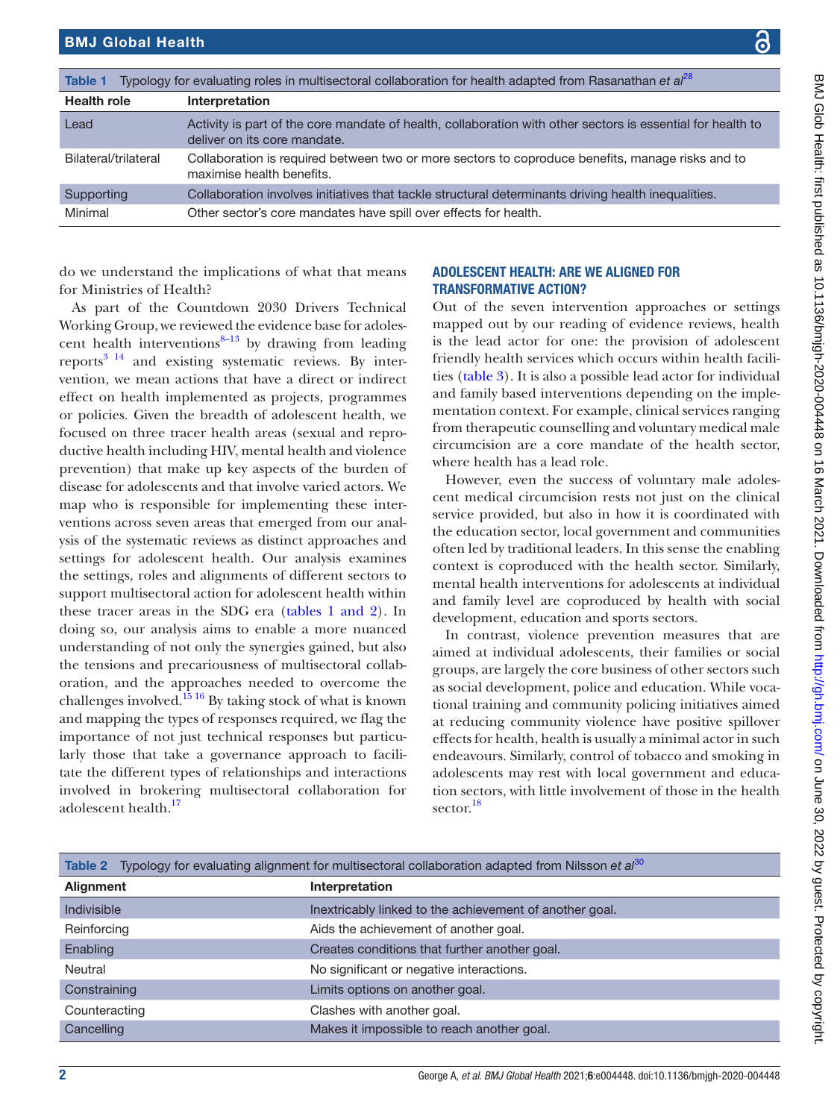<span id="page-1-0"></span>

| <b>Table 1</b>       | Typology for evaluating roles in multisectoral collaboration for health adapted from Rasanathan et $a^{28}$                                 |
|----------------------|---------------------------------------------------------------------------------------------------------------------------------------------|
| <b>Health role</b>   | Interpretation                                                                                                                              |
| Lead                 | Activity is part of the core mandate of health, collaboration with other sectors is essential for health to<br>deliver on its core mandate. |
| Bilateral/trilateral | Collaboration is required between two or more sectors to coproduce benefits, manage risks and to<br>maximise health benefits.               |
| Supporting           | Collaboration involves initiatives that tackle structural determinants driving health inequalities.                                         |
| Minimal              | Other sector's core mandates have spill over effects for health.                                                                            |

do we understand the implications of what that means for Ministries of Health?

As part of the Countdown 2030 Drivers Technical Working Group, we reviewed the evidence base for adolescent health interventions $8-13$  by drawing from leading reports $3^{14}$  and existing systematic reviews. By intervention, we mean actions that have a direct or indirect effect on health implemented as projects, programmes or policies. Given the breadth of adolescent health, we focused on three tracer health areas (sexual and reproductive health including HIV, mental health and violence prevention) that make up key aspects of the burden of disease for adolescents and that involve varied actors. We map who is responsible for implementing these interventions across seven areas that emerged from our analysis of the systematic reviews as distinct approaches and settings for adolescent health. Our analysis examines the settings, roles and alignments of different sectors to support multisectoral action for adolescent health within these tracer areas in the SDG era (tables [1 and 2\)](#page-1-0). In doing so, our analysis aims to enable a more nuanced understanding of not only the synergies gained, but also the tensions and precariousness of multisectoral collaboration, and the approaches needed to overcome the challenges involved.<sup>[15 16](#page-6-7)</sup> By taking stock of what is known and mapping the types of responses required, we flag the importance of not just technical responses but particularly those that take a governance approach to facilitate the different types of relationships and interactions involved in brokering multisectoral collaboration for adolescent health.<sup>17</sup>

#### ADOLESCENT HEALTH: ARE WE ALIGNED FOR TRANSFORMATIVE ACTION?

Out of the seven intervention approaches or settings mapped out by our reading of evidence reviews, health is the lead actor for one: the provision of adolescent friendly health services which occurs within health facilities [\(table](#page-2-0) 3). It is also a possible lead actor for individual and family based interventions depending on the implementation context. For example, clinical services ranging from therapeutic counselling and voluntary medical male circumcision are a core mandate of the health sector, where health has a lead role.

However, even the success of voluntary male adolescent medical circumcision rests not just on the clinical service provided, but also in how it is coordinated with the education sector, local government and communities often led by traditional leaders. In this sense the enabling context is coproduced with the health sector. Similarly, mental health interventions for adolescents at individual and family level are coproduced by health with social development, education and sports sectors.

In contrast, violence prevention measures that are aimed at individual adolescents, their families or social groups, are largely the core business of other sectors such as social development, police and education. While vocational training and community policing initiatives aimed at reducing community violence have positive spillover effects for health, health is usually a minimal actor in such endeavours. Similarly, control of tobacco and smoking in adolescents may rest with local government and education sectors, with little involvement of those in the health sector.<sup>[18](#page-6-9)</sup>

|               | Table 2 Typology for evaluating alignment for multisectoral collaboration adapted from Nilsson et al <sup>30</sup> |
|---------------|--------------------------------------------------------------------------------------------------------------------|
| Alignment     | Interpretation                                                                                                     |
| Indivisible   | Inextricably linked to the achievement of another goal.                                                            |
| Reinforcing   | Aids the achievement of another goal.                                                                              |
| Enabling      | Creates conditions that further another goal.                                                                      |
| Neutral       | No significant or negative interactions.                                                                           |
| Constraining  | Limits options on another goal.                                                                                    |
| Counteracting | Clashes with another goal.                                                                                         |
| Cancelling    | Makes it impossible to reach another goal.                                                                         |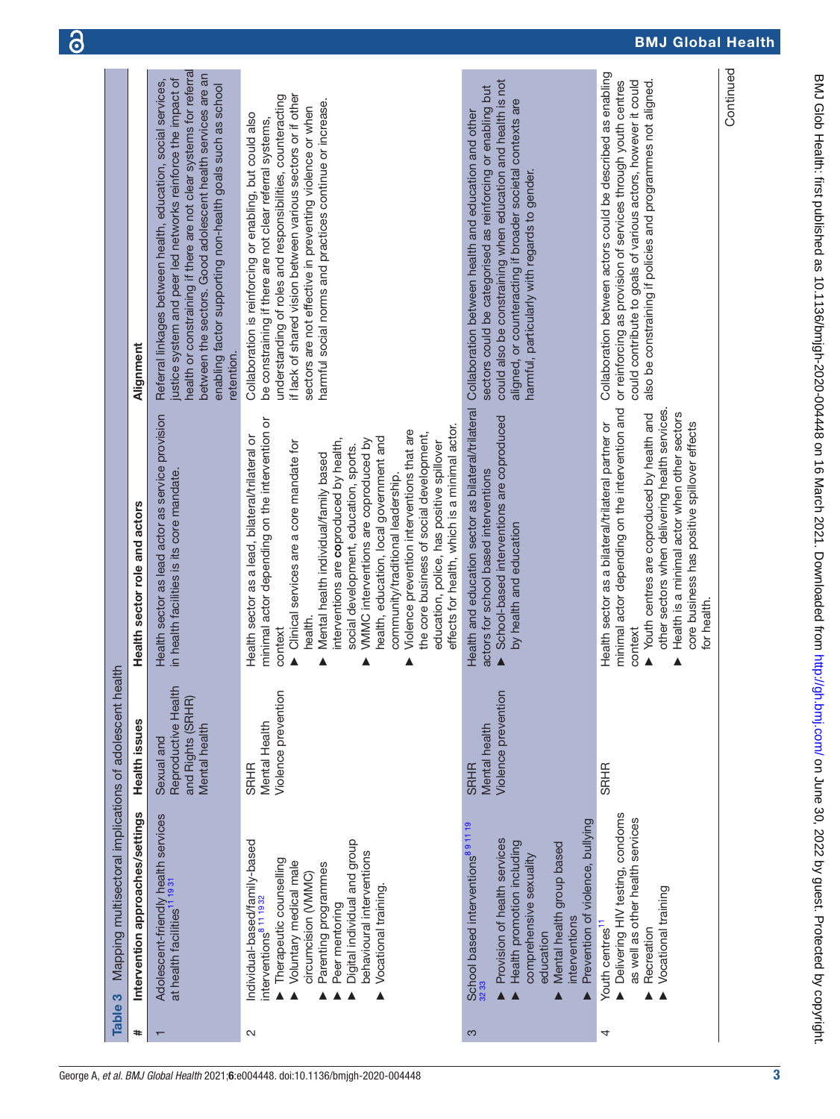| #                 | Intervention approaches/settings                                                                                                                                                                                                                                                                                        | Health issues                                                           | Health sector role and actors                                                                                                                                                                                                                                                                                                                                                                                                                                                                                                                                                                                                | Alignment                                                                                                                                                                                                                                                                                                                                                                  |
|-------------------|-------------------------------------------------------------------------------------------------------------------------------------------------------------------------------------------------------------------------------------------------------------------------------------------------------------------------|-------------------------------------------------------------------------|------------------------------------------------------------------------------------------------------------------------------------------------------------------------------------------------------------------------------------------------------------------------------------------------------------------------------------------------------------------------------------------------------------------------------------------------------------------------------------------------------------------------------------------------------------------------------------------------------------------------------|----------------------------------------------------------------------------------------------------------------------------------------------------------------------------------------------------------------------------------------------------------------------------------------------------------------------------------------------------------------------------|
|                   | Adolescent-friendly health services<br>at health facilities <sup>11 19 31</sup>                                                                                                                                                                                                                                         | Reproductive Health<br>and Rights (SRHR)<br>Mental health<br>Sexual and | Health sector as lead actor as service provision<br>in health facilities is its core mandate.                                                                                                                                                                                                                                                                                                                                                                                                                                                                                                                                | health or constraining if there are not clear systems for referral<br>between the sectors. Good adolescent health services are an<br>justice system and peer led networks reinforce the impact of<br>Referral linkages between health, education, social services,<br>enabling factor supporting non-health goals such as school<br>retention.                             |
| $\mathbf{\Omega}$ | Digital individual and group<br>Individual-based/family-based<br>behavioural interventions<br>Therapeutic counselling<br>Voluntary medical male<br>Parenting programmes<br>circumcision (VMMC)<br>Vocational training<br>interventions <sup>8</sup> <sup>11</sup> <sup>1932</sup><br>Peer mentoring<br>$\blacktriangle$ | Violence prevention<br>Mental Health<br><b>SRHR</b>                     | minimal actor depending on the intervention or<br>effects for health, which is a minimal actor.<br>Violence prevention interventions that are<br>the core business of social development,<br>Health sector as a lead, bilateral/trilateral or<br>health, education, local government and<br>VMMC interventions are coproduced by<br>interventions are coproduced by health,<br>Clinical services are a core mandate for<br>education, police, has positive spillover<br>social development, education, sports.<br>Mental health individual/family based<br>community/traditional leadership.<br>health.<br>context<br>Δ<br>Δ | if lack of shared vision between various sectors or if other<br>understanding of roles and responsibilities, counteracting<br>harmful social norms and practices continue or increase.<br>sectors are not effective in preventing violence or when<br>Collaboration is reinforcing or enabling, but could also<br>be constraining if there are not clear referral systems, |
| က                 | Prevention of violence, bullying<br>School based interventions <sup>891119</sup><br>Provision of health services<br>Health promotion including<br>Mental health group based<br>comprehensive sexuality<br>interventions<br>education                                                                                    | Violence prevention<br>Mental health<br><b>SRHR</b>                     | Health and education sector as bilateral/trilateral<br>School-based interventions are coproduced<br>actors for school based interventions<br>by health and education                                                                                                                                                                                                                                                                                                                                                                                                                                                         | could also be constraining when education and health is not<br>sectors could be categorised as reinforcing or enabling but<br>aligned, or counteracting if broader societal contexts are<br>Collaboration between health and education and other<br>harmful, particularly with regards to gender.                                                                          |
| 4                 | Delivering HIV testing, condoms<br>as well as other health services<br>Vocational training<br>Youth centres <sup>11</sup><br>Recreation<br>$\blacktriangle$                                                                                                                                                             | <b>SRHR</b>                                                             | minimal actor depending on the intervention and<br>other sectors when delivering health services<br>Health is a minimal actor when other sectors<br>Youth centres are coproduced by health and<br>Health sector as a bilateral/trilateral partner or<br>core business has positive spillover effects<br>for health.<br>context                                                                                                                                                                                                                                                                                               | Collaboration between actors could be described as enabling<br>also be constraining if policies and programmes not aligned.<br>or reinforcing as provision of services through youth centres<br>could contribute to goals of various actors, however it could                                                                                                              |

<span id="page-2-0"></span>3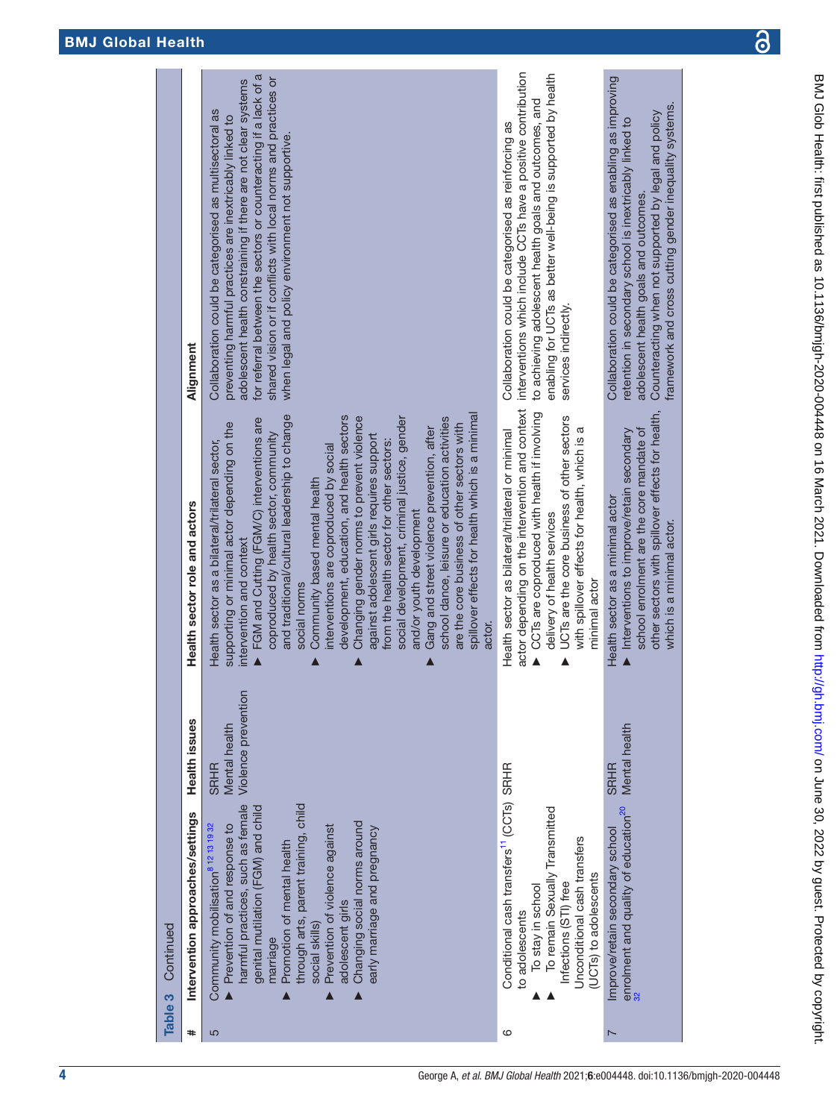| )<br>-<br>-                                                                                                                                                                                                    |
|----------------------------------------------------------------------------------------------------------------------------------------------------------------------------------------------------------------|
|                                                                                                                                                                                                                |
| Phy Library.                                                                                                                                                                                                   |
|                                                                                                                                                                                                                |
|                                                                                                                                                                                                                |
|                                                                                                                                                                                                                |
|                                                                                                                                                                                                                |
|                                                                                                                                                                                                                |
|                                                                                                                                                                                                                |
|                                                                                                                                                                                                                |
|                                                                                                                                                                                                                |
|                                                                                                                                                                                                                |
|                                                                                                                                                                                                                |
|                                                                                                                                                                                                                |
|                                                                                                                                                                                                                |
|                                                                                                                                                                                                                |
|                                                                                                                                                                                                                |
|                                                                                                                                                                                                                |
|                                                                                                                                                                                                                |
|                                                                                                                                                                                                                |
|                                                                                                                                                                                                                |
|                                                                                                                                                                                                                |
|                                                                                                                                                                                                                |
|                                                                                                                                                                                                                |
|                                                                                                                                                                                                                |
| בייה המוכר בהסתונה והמנה המסתונה המוכרת המוכרת המוכרת המוכרת המוכרת המוכרת המוכרת המוכרת המוכרת המוכרת המוכרת<br>i:::^+ ハ::トli:トト›ユ ) ハ ユコ ユユロ バア ^::\ト ココココ ココユニロ ハコ ユコ N』コリ コココー ココニニココユリユ fr:ココ トナナフ://スト ト |
|                                                                                                                                                                                                                |
|                                                                                                                                                                                                                |
|                                                                                                                                                                                                                |
|                                                                                                                                                                                                                |
|                                                                                                                                                                                                                |
|                                                                                                                                                                                                                |
|                                                                                                                                                                                                                |
|                                                                                                                                                                                                                |
|                                                                                                                                                                                                                |
|                                                                                                                                                                                                                |
|                                                                                                                                                                                                                |
|                                                                                                                                                                                                                |
| ここ りこっち こうりょう りりて りょう                                                                                                                                                                                          |
|                                                                                                                                                                                                                |
|                                                                                                                                                                                                                |
|                                                                                                                                                                                                                |
|                                                                                                                                                                                                                |
|                                                                                                                                                                                                                |
|                                                                                                                                                                                                                |
|                                                                                                                                                                                                                |
|                                                                                                                                                                                                                |
|                                                                                                                                                                                                                |
|                                                                                                                                                                                                                |
|                                                                                                                                                                                                                |
|                                                                                                                                                                                                                |
|                                                                                                                                                                                                                |
|                                                                                                                                                                                                                |

|   | Continued<br>Table 3                                                                                                                                                                                                                                                                                                                                                              |                                                     |                                                                                                                                                                                                                                                                                                                                                                                                                                                                                                                                                                                                                                                                                                                                                                                                                                            |                                                                                                                                                                                                                                                                                                                                                                                |
|---|-----------------------------------------------------------------------------------------------------------------------------------------------------------------------------------------------------------------------------------------------------------------------------------------------------------------------------------------------------------------------------------|-----------------------------------------------------|--------------------------------------------------------------------------------------------------------------------------------------------------------------------------------------------------------------------------------------------------------------------------------------------------------------------------------------------------------------------------------------------------------------------------------------------------------------------------------------------------------------------------------------------------------------------------------------------------------------------------------------------------------------------------------------------------------------------------------------------------------------------------------------------------------------------------------------------|--------------------------------------------------------------------------------------------------------------------------------------------------------------------------------------------------------------------------------------------------------------------------------------------------------------------------------------------------------------------------------|
| # | Intervention approaches/settings                                                                                                                                                                                                                                                                                                                                                  | Health issues                                       | Health sector role and actors                                                                                                                                                                                                                                                                                                                                                                                                                                                                                                                                                                                                                                                                                                                                                                                                              | Alignment                                                                                                                                                                                                                                                                                                                                                                      |
| 5 | harmful practices, such as female<br>through arts, parent training, child<br>genital mutilation (FGM) and child<br>Changing social norms around<br>Prevention of and response to<br>Community mobilisation <sup>812131932</sup><br>Prevention of violence against<br>early marriage and pregnancy<br>Promotion of mental health<br>adolescent girls<br>social skills)<br>marriage | Violence prevention<br>Mental health<br><b>SRHR</b> | spillover effects for health which is a minimal<br>and traditional/cultural leadership to change<br>development, education, and health sectors<br>Changing gender norms to prevent violence<br>social development, criminal justice, gender<br>school dance, leisure or education activities<br>FGM and Cutting (FGM/C) interventions are<br>supporting or minimal actor depending on the<br>are the core business of other sectors with<br>Gang and street violence prevention, after<br>coproduced by health sector, community<br>against adolescent girls requires support<br>from the health sector for other sectors:<br>Health sector as a bilateral/trilateral sector,<br>interventions are coproduced by social<br>Community based mental health<br>and/or youth development<br>intervention and context<br>social norms<br>actor. | for referral between the sectors or counteracting if a lack of a<br>shared vision or if conflicts with local norms and practices or<br>adolescent health constraining if there are not clear systems<br>Collaboration could be categorised as multisectoral as<br>preventing harmful practices are inextricably linked to<br>when legal and policy environment not supportive. |
| ဖ | Conditional cash transfers <sup>11</sup> (CCTs) SRHR<br>To remain Sexually Transmitted<br>Unconditional cash transfers<br>(UCTs) to adolescents<br>Infections (STI) free<br>To stay in school<br>to adolescents                                                                                                                                                                   |                                                     | actor depending on the intervention and context<br>CCTs are coproduced with health if involving<br>UCTs are the core business of other sectors<br>with spillover effects for health, which is a<br>Health sector as bilateral/trilateral or minimal<br>delivery of health services<br>minimal actor                                                                                                                                                                                                                                                                                                                                                                                                                                                                                                                                        | interventions which include CCTs have a positive contribution<br>enabling for UCTs as better well-being is supported by health<br>to achieving adolescent health goals and outcomes, and<br>Collaboration could be categorised as reinforcing as<br>services indirectly.                                                                                                       |
|   | enrolment and quality of education <sup>20</sup><br>32<br>Improve/retain secondary school                                                                                                                                                                                                                                                                                         | Mental health<br><b>SRHR</b>                        | other sectors with spillover effects for health,<br>school enrolment are the core mandate of<br>Interventions to improve/retain secondary<br>Health sector as a minimal actor<br>which is a minimal actor.                                                                                                                                                                                                                                                                                                                                                                                                                                                                                                                                                                                                                                 | Collaboration could be categorised as enabling as improving<br>framework and cross cutting gender inequality systems.<br>Counteracting when not supported by legal and policy<br>retention in secondary school is inextricably linked to<br>adolescent health goals and outcomes.                                                                                              |
|   |                                                                                                                                                                                                                                                                                                                                                                                   |                                                     |                                                                                                                                                                                                                                                                                                                                                                                                                                                                                                                                                                                                                                                                                                                                                                                                                                            |                                                                                                                                                                                                                                                                                                                                                                                |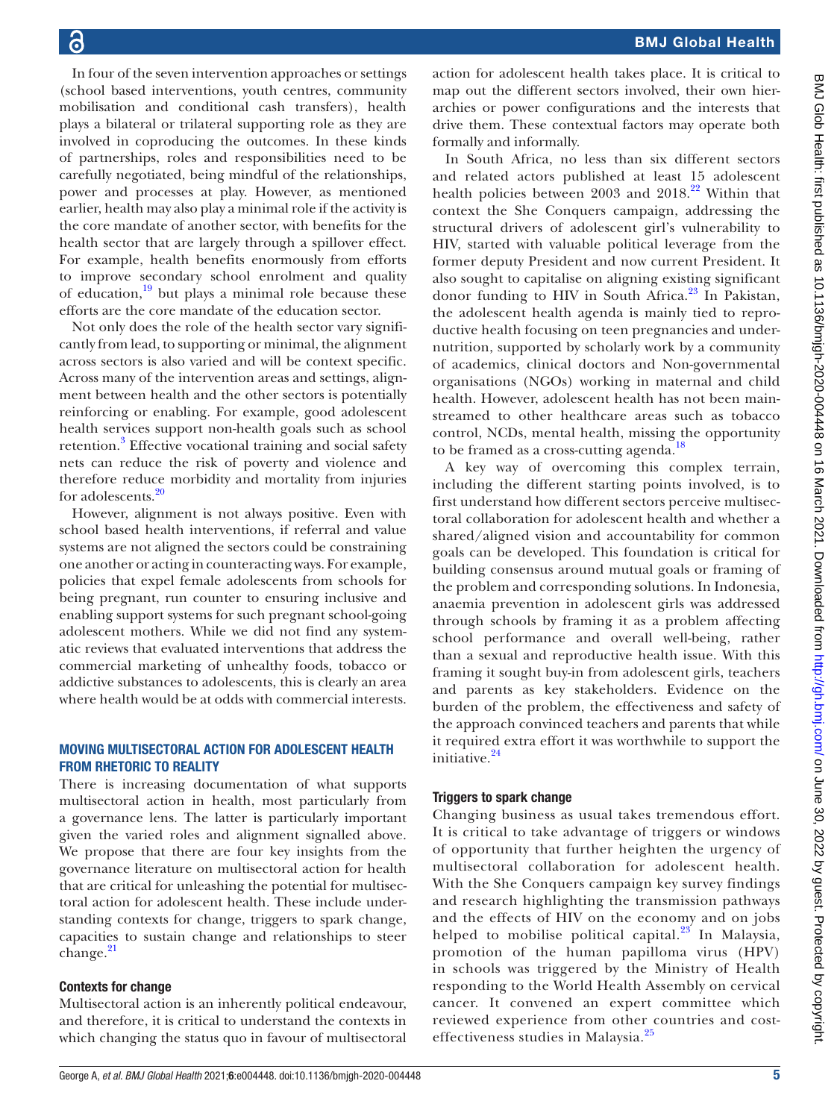In four of the seven intervention approaches or settings (school based interventions, youth centres, community mobilisation and conditional cash transfers), health plays a bilateral or trilateral supporting role as they are involved in coproducing the outcomes. In these kinds of partnerships, roles and responsibilities need to be carefully negotiated, being mindful of the relationships, power and processes at play. However, as mentioned earlier, health may also play a minimal role if the activity is the core mandate of another sector, with benefits for the health sector that are largely through a spillover effect. For example, health benefits enormously from efforts to improve secondary school enrolment and quality of education, $\frac{19}{19}$  $\frac{19}{19}$  $\frac{19}{19}$  but plays a minimal role because these efforts are the core mandate of the education sector.

Not only does the role of the health sector vary significantly from lead, to supporting or minimal, the alignment across sectors is also varied and will be context specific. Across many of the intervention areas and settings, alignment between health and the other sectors is potentially reinforcing or enabling. For example, good adolescent health services support non-health goals such as school retention.<sup>[3](#page-6-2)</sup> Effective vocational training and social safety nets can reduce the risk of poverty and violence and therefore reduce morbidity and mortality from injuries for adolescents.<sup>[20](#page-7-2)</sup>

However, alignment is not always positive. Even with school based health interventions, if referral and value systems are not aligned the sectors could be constraining one another or acting in counteracting ways. For example, policies that expel female adolescents from schools for being pregnant, run counter to ensuring inclusive and enabling support systems for such pregnant school-going adolescent mothers. While we did not find any systematic reviews that evaluated interventions that address the commercial marketing of unhealthy foods, tobacco or addictive substances to adolescents, this is clearly an area where health would be at odds with commercial interests.

### MOVING MULTISECTORAL ACTION FOR ADOLESCENT HEALTH FROM RHETORIC TO REALITY

There is increasing documentation of what supports multisectoral action in health, most particularly from a governance lens. The latter is particularly important given the varied roles and alignment signalled above. We propose that there are four key insights from the governance literature on multisectoral action for health that are critical for unleashing the potential for multisectoral action for adolescent health. These include understanding contexts for change, triggers to spark change, capacities to sustain change and relationships to steer change. $^{21}$ 

### Contexts for change

Multisectoral action is an inherently political endeavour, and therefore, it is critical to understand the contexts in which changing the status quo in favour of multisectoral action for adolescent health takes place. It is critical to map out the different sectors involved, their own hierarchies or power configurations and the interests that drive them. These contextual factors may operate both formally and informally.

In South Africa, no less than six different sectors and related actors published at least 15 adolescent health policies between 2003 and  $2018.<sup>22</sup>$  Within that context the She Conquers campaign, addressing the structural drivers of adolescent girl's vulnerability to HIV, started with valuable political leverage from the former deputy President and now current President. It also sought to capitalise on aligning existing significant donor funding to HIV in South Africa.<sup>[23](#page-7-6)</sup> In Pakistan, the adolescent health agenda is mainly tied to reproductive health focusing on teen pregnancies and undernutrition, supported by scholarly work by a community of academics, clinical doctors and Non-governmental organisations (NGOs) working in maternal and child health. However, adolescent health has not been mainstreamed to other healthcare areas such as tobacco control, NCDs, mental health, missing the opportunity to be framed as a cross-cutting agenda.<sup>[18](#page-6-9)</sup>

A key way of overcoming this complex terrain, including the different starting points involved, is to first understand how different sectors perceive multisectoral collaboration for adolescent health and whether a shared/aligned vision and accountability for common goals can be developed. This foundation is critical for building consensus around mutual goals or framing of the problem and corresponding solutions. In Indonesia, anaemia prevention in adolescent girls was addressed through schools by framing it as a problem affecting school performance and overall well-being, rather than a sexual and reproductive health issue. With this framing it sought buy-in from adolescent girls, teachers and parents as key stakeholders. Evidence on the burden of the problem, the effectiveness and safety of the approach convinced teachers and parents that while it required extra effort it was worthwhile to support the initiative.[24](#page-7-7)

### Triggers to spark change

Changing business as usual takes tremendous effort. It is critical to take advantage of triggers or windows of opportunity that further heighten the urgency of multisectoral collaboration for adolescent health. With the She Conquers campaign key survey findings and research highlighting the transmission pathways and the effects of HIV on the economy and on jobs helped to mobilise political capital. $^{23}$  In Malaysia, promotion of the human papilloma virus (HPV) in schools was triggered by the Ministry of Health responding to the World Health Assembly on cervical cancer. It convened an expert committee which reviewed experience from other countries and costeffectiveness studies in Malaysia.[25](#page-7-8)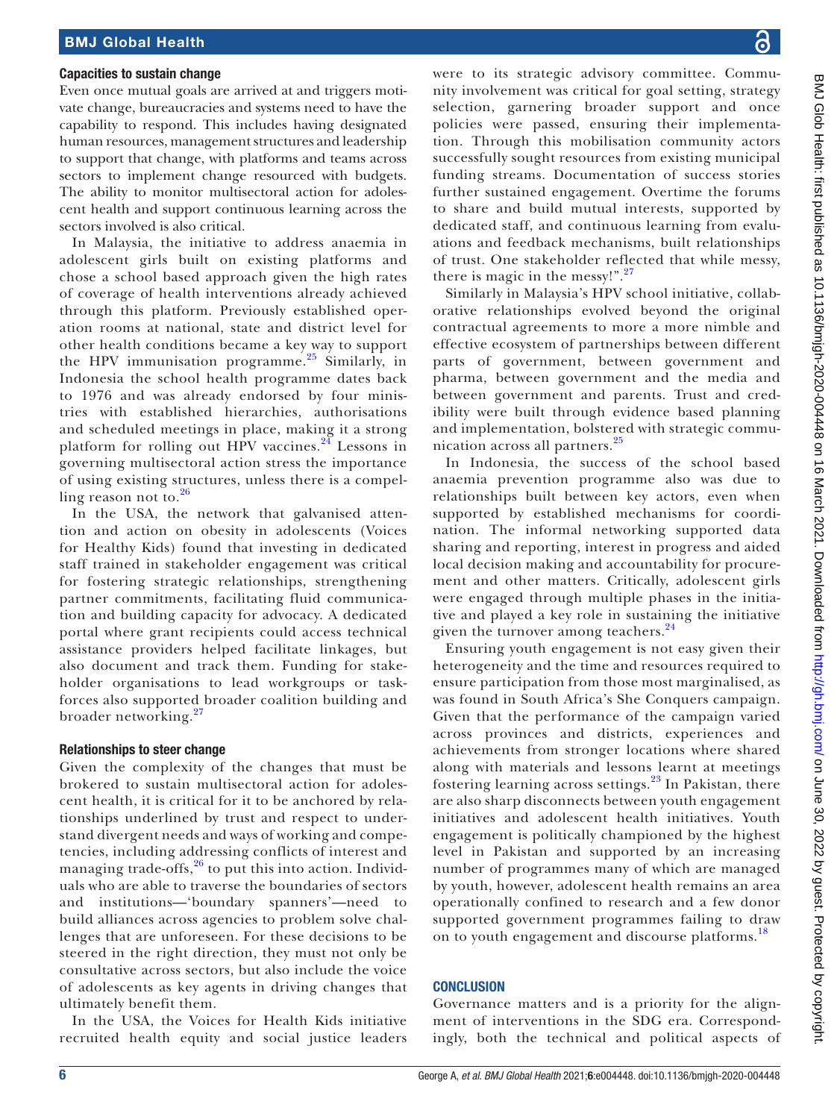#### Capacities to sustain change

Even once mutual goals are arrived at and triggers motivate change, bureaucracies and systems need to have the capability to respond. This includes having designated human resources, management structures and leadership to support that change, with platforms and teams across sectors to implement change resourced with budgets. The ability to monitor multisectoral action for adolescent health and support continuous learning across the sectors involved is also critical.

In Malaysia, the initiative to address anaemia in adolescent girls built on existing platforms and chose a school based approach given the high rates of coverage of health interventions already achieved through this platform. Previously established operation rooms at national, state and district level for other health conditions became a key way to support the HPV immunisation programme.<sup>25</sup> Similarly, in Indonesia the school health programme dates back to 1976 and was already endorsed by four ministries with established hierarchies, authorisations and scheduled meetings in place, making it a strong platform for rolling out HPV vaccines. $24$  Lessons in governing multisectoral action stress the importance of using existing structures, unless there is a compelling reason not to. $26$ 

In the USA, the network that galvanised attention and action on obesity in adolescents (Voices for Healthy Kids) found that investing in dedicated staff trained in stakeholder engagement was critical for fostering strategic relationships, strengthening partner commitments, facilitating fluid communication and building capacity for advocacy. A dedicated portal where grant recipients could access technical assistance providers helped facilitate linkages, but also document and track them. Funding for stakeholder organisations to lead workgroups or taskforces also supported broader coalition building and broader networking.<sup>[27](#page-7-10)</sup>

### Relationships to steer change

Given the complexity of the changes that must be brokered to sustain multisectoral action for adolescent health, it is critical for it to be anchored by relationships underlined by trust and respect to understand divergent needs and ways of working and competencies, including addressing conflicts of interest and managing trade-offs, $26$  to put this into action. Individuals who are able to traverse the boundaries of sectors and institutions—'boundary spanners'—need to build alliances across agencies to problem solve challenges that are unforeseen. For these decisions to be steered in the right direction, they must not only be consultative across sectors, but also include the voice of adolescents as key agents in driving changes that ultimately benefit them.

In the USA, the Voices for Health Kids initiative recruited health equity and social justice leaders were to its strategic advisory committee. Community involvement was critical for goal setting, strategy selection, garnering broader support and once policies were passed, ensuring their implementation. Through this mobilisation community actors successfully sought resources from existing municipal funding streams. Documentation of success stories further sustained engagement. Overtime the forums to share and build mutual interests, supported by dedicated staff, and continuous learning from evaluations and feedback mechanisms, built relationships of trust. One stakeholder reflected that while messy, there is magic in the messy!". $27$ 

Similarly in Malaysia's HPV school initiative, collaborative relationships evolved beyond the original contractual agreements to more a more nimble and effective ecosystem of partnerships between different parts of government, between government and pharma, between government and the media and between government and parents. Trust and credibility were built through evidence based planning and implementation, bolstered with strategic communication across all partners.[25](#page-7-8)

In Indonesia, the success of the school based anaemia prevention programme also was due to relationships built between key actors, even when supported by established mechanisms for coordination. The informal networking supported data sharing and reporting, interest in progress and aided local decision making and accountability for procurement and other matters. Critically, adolescent girls were engaged through multiple phases in the initiative and played a key role in sustaining the initiative given the turnover among teachers.<sup>[24](#page-7-7)</sup>

Ensuring youth engagement is not easy given their heterogeneity and the time and resources required to ensure participation from those most marginalised, as was found in South Africa's She Conquers campaign. Given that the performance of the campaign varied across provinces and districts, experiences and achievements from stronger locations where shared along with materials and lessons learnt at meetings fostering learning across settings.<sup>23</sup> In Pakistan, there are also sharp disconnects between youth engagement initiatives and adolescent health initiatives. Youth engagement is politically championed by the highest level in Pakistan and supported by an increasing number of programmes many of which are managed by youth, however, adolescent health remains an area operationally confined to research and a few donor supported government programmes failing to draw on to youth engagement and discourse platforms.<sup>[18](#page-6-9)</sup>

## **CONCLUSION**

Governance matters and is a priority for the alignment of interventions in the SDG era. Correspondingly, both the technical and political aspects of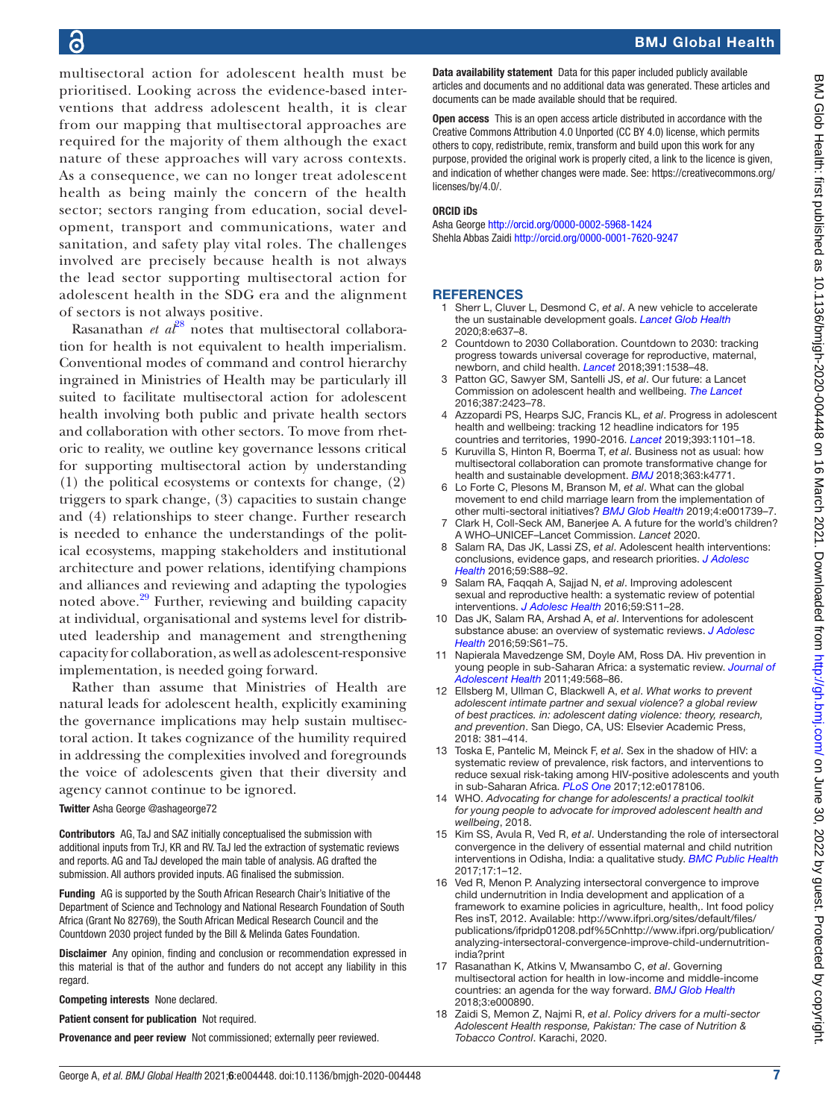multisectoral action for adolescent health must be prioritised. Looking across the evidence-based interventions that address adolescent health, it is clear from our mapping that multisectoral approaches are required for the majority of them although the exact nature of these approaches will vary across contexts. As a consequence, we can no longer treat adolescent health as being mainly the concern of the health sector; sectors ranging from education, social development, transport and communications, water and sanitation, and safety play vital roles. The challenges involved are precisely because health is not always the lead sector supporting multisectoral action for adolescent health in the SDG era and the alignment of sectors is not always positive.

Rasanathan *et*  $a^{28}$  notes that multisectoral collaboration for health is not equivalent to health imperialism. Conventional modes of command and control hierarchy ingrained in Ministries of Health may be particularly ill suited to facilitate multisectoral action for adolescent health involving both public and private health sectors and collaboration with other sectors. To move from rhetoric to reality, we outline key governance lessons critical for supporting multisectoral action by understanding (1) the political ecosystems or contexts for change, (2) triggers to spark change, (3) capacities to sustain change and (4) relationships to steer change. Further research is needed to enhance the understandings of the political ecosystems, mapping stakeholders and institutional architecture and power relations, identifying champions and alliances and reviewing and adapting the typologies noted above.<sup>29</sup> Further, reviewing and building capacity at individual, organisational and systems level for distributed leadership and management and strengthening capacity for collaboration, as well as adolescent-responsive implementation, is needed going forward.

Rather than assume that Ministries of Health are natural leads for adolescent health, explicitly examining the governance implications may help sustain multisectoral action. It takes cognizance of the humility required in addressing the complexities involved and foregrounds the voice of adolescents given that their diversity and agency cannot continue to be ignored.

#### Twitter Asha George [@ashageorge72](https://twitter.com/ashageorge72)

Contributors AG, TaJ and SAZ initially conceptualised the submission with additional inputs from TrJ, KR and RV. TaJ led the extraction of systematic reviews and reports. AG and TaJ developed the main table of analysis. AG drafted the submission. All authors provided inputs. AG finalised the submission.

Funding AG is supported by the South African Research Chair's Initiative of the Department of Science and Technology and National Research Foundation of South Africa (Grant No 82769), the South African Medical Research Council and the Countdown 2030 project funded by the Bill & Melinda Gates Foundation.

Disclaimer Any opinion, finding and conclusion or recommendation expressed in this material is that of the author and funders do not accept any liability in this regard.

Competing interests None declared.

Patient consent for publication Not required.

Provenance and peer review Not commissioned; externally peer reviewed.

Data availability statement Data for this paper included publicly available articles and documents and no additional data was generated. These articles and documents can be made available should that be required.

Open access This is an open access article distributed in accordance with the Creative Commons Attribution 4.0 Unported (CC BY 4.0) license, which permits others to copy, redistribute, remix, transform and build upon this work for any purpose, provided the original work is properly cited, a link to the licence is given, and indication of whether changes were made. See: [https://creativecommons.org/](https://creativecommons.org/licenses/by/4.0/) [licenses/by/4.0/](https://creativecommons.org/licenses/by/4.0/).

#### ORCID iDs

Asha George<http://orcid.org/0000-0002-5968-1424> Shehla Abbas Zaidi <http://orcid.org/0000-0001-7620-9247>

#### **REFERENCES**

- <span id="page-6-0"></span>Sherr L, Cluver L, Desmond C, et al. A new vehicle to accelerate the un sustainable development goals. *[Lancet Glob Health](http://dx.doi.org/10.1016/S2214-109X(20)30103-0)* 2020;8:e637–8.
- <span id="page-6-1"></span>2 Countdown to 2030 Collaboration. Countdown to 2030: tracking progress towards universal coverage for reproductive, maternal, newborn, and child health. *[Lancet](http://dx.doi.org/10.1016/S0140-6736(18)30104-1)* 2018;391:1538–48.
- <span id="page-6-2"></span>3 Patton GC, Sawyer SM, Santelli JS, *et al*. Our future: a Lancet Commission on adolescent health and wellbeing. *[The Lancet](http://dx.doi.org/10.1016/S0140-6736(16)00579-1)* 2016;387:2423–78.
- <span id="page-6-3"></span>4 Azzopardi PS, Hearps SJC, Francis KL, *et al*. Progress in adolescent health and wellbeing: tracking 12 headline indicators for 195 countries and territories, 1990-2016. *[Lancet](http://dx.doi.org/10.1016/S0140-6736(18)32427-9)* 2019;393:1101–18.
- <span id="page-6-4"></span>5 Kuruvilla S, Hinton R, Boerma T, *et al*. Business not as usual: how multisectoral collaboration can promote transformative change for health and sustainable development. *[BMJ](http://dx.doi.org/10.1136/bmj.k4771)* 2018;363:k4771.
- 6 Lo Forte C, Plesons M, Branson M, *et al*. What can the global movement to end child marriage learn from the implementation of other multi-sectoral initiatives? *[BMJ Glob Health](http://dx.doi.org/10.1136/bmjgh-2019-001739)* 2019;4:e001739–7.
- <span id="page-6-5"></span>7 Clark H, Coll-Seck AM, Banerjee A. A future for the world's children? A WHO–UNICEF–Lancet Commission. *Lancet* 2020.
- <span id="page-6-6"></span>8 Salam RA, Das JK, Lassi ZS, *et al*. Adolescent health interventions: conclusions, evidence gaps, and research priorities. *[J Adolesc](http://dx.doi.org/10.1016/j.jadohealth.2016.05.006)  [Health](http://dx.doi.org/10.1016/j.jadohealth.2016.05.006)* 2016;59:S88–92.
- 9 Salam RA, Faqqah A, Sajjad N, *et al*. Improving adolescent sexual and reproductive health: a systematic review of potential interventions. *[J Adolesc Health](http://dx.doi.org/10.1016/j.jadohealth.2016.05.022)* 2016;59:S11–28.
- 10 Das JK, Salam RA, Arshad A, *et al*. Interventions for adolescent substance abuse: an overview of systematic reviews. *[J Adolesc](http://dx.doi.org/10.1016/j.jadohealth.2016.06.021)  [Health](http://dx.doi.org/10.1016/j.jadohealth.2016.06.021)* 2016;59:S61–75.
- <span id="page-6-10"></span>11 Napierala Mavedzenge SM, Doyle AM, Ross DA. Hiv prevention in young people in sub-Saharan Africa: a systematic review. *[Journal of](http://dx.doi.org/10.1016/j.jadohealth.2011.02.007)  [Adolescent Health](http://dx.doi.org/10.1016/j.jadohealth.2011.02.007)* 2011;49:568–86.
- 12 Ellsberg M, Ullman C, Blackwell A, *et al*. *What works to prevent adolescent intimate partner and sexual violence? a global review of best practices. in: adolescent dating violence: theory, research, and prevention*. San Diego, CA, US: Elsevier Academic Press, 2018: 381–414.
- 13 Toska E, Pantelic M, Meinck F, *et al*. Sex in the shadow of HIV: a systematic review of prevalence, risk factors, and interventions to reduce sexual risk-taking among HIV-positive adolescents and youth in sub-Saharan Africa. *[PLoS One](http://dx.doi.org/10.1371/journal.pone.0178106)* 2017;12:e0178106.
- 14 WHO. *Advocating for change for adolescents! a practical toolkit for young people to advocate for improved adolescent health and wellbeing*, 2018.
- <span id="page-6-7"></span>15 Kim SS, Avula R, Ved R, *et al*. Understanding the role of intersectoral convergence in the delivery of essential maternal and child nutrition interventions in Odisha, India: a qualitative study. *[BMC Public Health](http://dx.doi.org/10.1186/s12889-017-4088-z)* 2017;17:1–12.
- 16 Ved R, Menon P. Analyzing intersectoral convergence to improve child undernutrition in India development and application of a framework to examine policies in agriculture, health,. Int food policy Res insT, 2012. Available: [http://www.ifpri.org/sites/default/files/](http://www.ifpri.org/sites/default/files/publications/ifpridp01208.pdf%5Cnhttp://www.ifpri.org/publication/analyzing-intersectoral-convergence-improve-child-undernutrition-india?print) [publications/ifpridp01208.pdf%5Cnhttp://www.ifpri.org/publication/](http://www.ifpri.org/sites/default/files/publications/ifpridp01208.pdf%5Cnhttp://www.ifpri.org/publication/analyzing-intersectoral-convergence-improve-child-undernutrition-india?print) [analyzing-intersectoral-convergence-improve-child-undernutrition](http://www.ifpri.org/sites/default/files/publications/ifpridp01208.pdf%5Cnhttp://www.ifpri.org/publication/analyzing-intersectoral-convergence-improve-child-undernutrition-india?print)[india?print](http://www.ifpri.org/sites/default/files/publications/ifpridp01208.pdf%5Cnhttp://www.ifpri.org/publication/analyzing-intersectoral-convergence-improve-child-undernutrition-india?print)
- <span id="page-6-8"></span>17 Rasanathan K, Atkins V, Mwansambo C, *et al*. Governing multisectoral action for health in low-income and middle-income countries: an agenda for the way forward. *[BMJ Glob Health](http://dx.doi.org/10.1136/bmjgh-2018-000890)* 2018;3:e000890.
- <span id="page-6-9"></span>18 Zaidi S, Memon Z, Najmi R, *et al*. *Policy drivers for a multi-sector Adolescent Health response, Pakistan: The case of Nutrition & Tobacco Control*. Karachi, 2020.